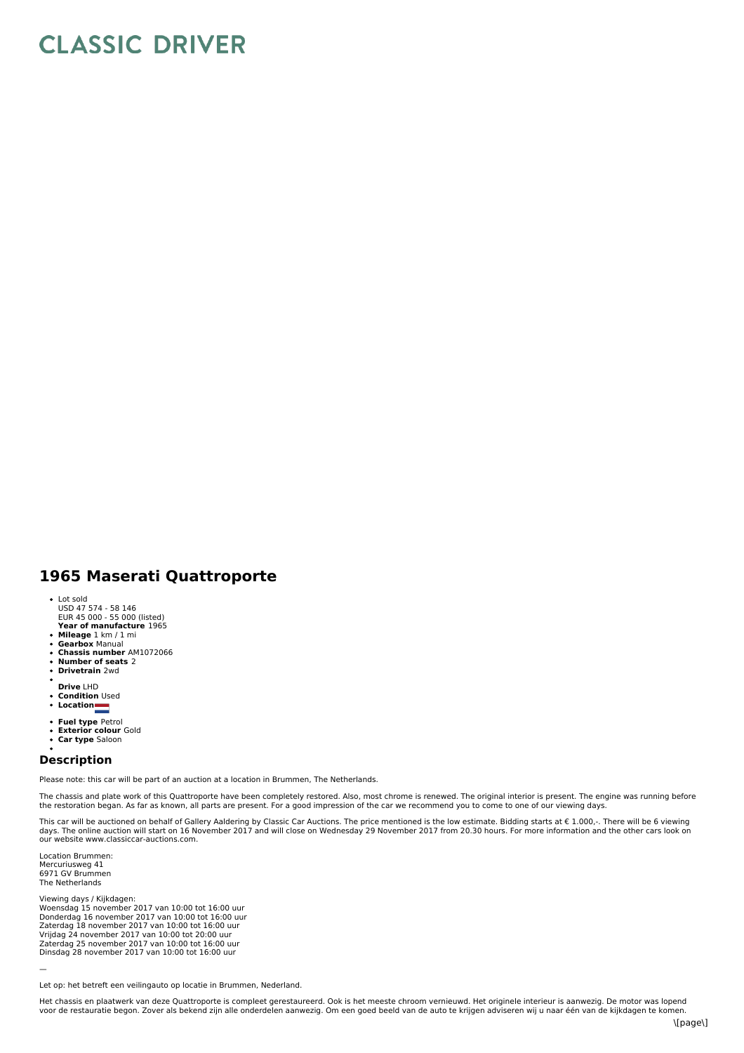## **CLASSIC DRIVER**

## **1965 Maserati Quattroporte**

- 
- Lot sold USD 47 574 58 146 EUR 45 000 55 000 (listed)
- **Year of manufacture** 1965
- **Mileage** 1 km / 1 mi
- **Gearbox** Manual  $\bullet$
- **Chassis number** AM1072066  $\bullet$
- **Number of seats** 2 **Drivetrain** 2wd
- 
- **Drive** LHD **Condition** Used  $\ddot{\phantom{0}}$
- **Location**
- 
- **Fuel type** Petrol **Exterior colour** Gold
- $\ddot{\phantom{a}}$
- **Car type** Saloon

## **Description**

Please note: this car will be part of an auction at a location in Brummen, The Netherlands.

The chassis and plate work of this Quattroporte have been completely restored. Also, most chrome is renewed. The original interior is present. The engine was running before the restoration began. As far as known, all parts are present. For a good impression of the car we recommend you to come to one of our viewing days.

This car will be auctioned on behalf of Gallery Aaldering by Classic Car Auctions. The price mentioned is the low estimate. Bidding starts at € 1.000,-. There will be 6 viewing<br>days. The online auction will start on 16 No

Location Brummen: Mercuriusweg 41 6971 GV Brummen The Netherlands

—

Viewing days / Kijkdagen: Woensdag 15 november 2017 van 10:00 tot 16:00 uur<br>Donderdag 16 november 2017 van 10:00 tot 16:00 uur<br>Zaterdag 18 november 2017 van 10:00 tot 16:00 uur<br>Vrijdag 24 november 2017 van 10:00 tot 20:00 uur<br>Zaterdag 25 november 2 Dinsdag 28 november 2017 van 10:00 tot 16:00 uur

Let op: het betreft een veilingauto op locatie in Brummen, Nederland.

Het chassis en plaatwerk van deze Quattroporte is compleet gerestaureerd. Ook is het meeste chroom vernieuwd. Het originele interieur is aanwezig. De motor was lopend voor de restauratie begon. Zover als bekend zijn alle onderdelen aanwezig. Om een goed beeld van de auto te krijgen adviseren wij u naar één van de kijkdagen te komen.